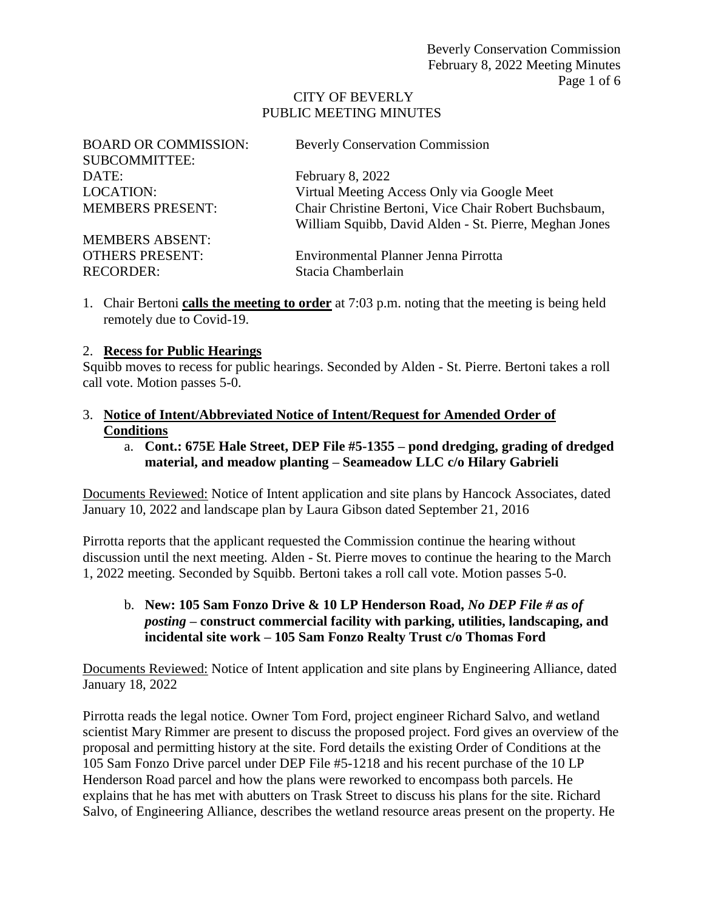#### CITY OF BEVERLY PUBLIC MEETING MINUTES

| <b>BOARD OR COMMISSION:</b> | <b>Beverly Conservation Commission</b>                 |
|-----------------------------|--------------------------------------------------------|
| <b>SUBCOMMITTEE:</b>        |                                                        |
| DATE:                       | February 8, 2022                                       |
| <b>LOCATION:</b>            | Virtual Meeting Access Only via Google Meet            |
| <b>MEMBERS PRESENT:</b>     | Chair Christine Bertoni, Vice Chair Robert Buchsbaum,  |
|                             | William Squibb, David Alden - St. Pierre, Meghan Jones |
| <b>MEMBERS ABSENT:</b>      |                                                        |
| <b>OTHERS PRESENT:</b>      | Environmental Planner Jenna Pirrotta                   |
| <b>RECORDER:</b>            | Stacia Chamberlain                                     |

1. Chair Bertoni **calls the meeting to order** at 7:03 p.m. noting that the meeting is being held remotely due to Covid-19.

#### 2. **Recess for Public Hearings**

Squibb moves to recess for public hearings. Seconded by Alden - St. Pierre. Bertoni takes a roll call vote. Motion passes 5-0.

- 3. **Notice of Intent/Abbreviated Notice of Intent/Request for Amended Order of Conditions**
	- a. **Cont.: 675E Hale Street, DEP File #5-1355 – pond dredging, grading of dredged material, and meadow planting – Seameadow LLC c/o Hilary Gabrieli**

Documents Reviewed: Notice of Intent application and site plans by Hancock Associates, dated January 10, 2022 and landscape plan by Laura Gibson dated September 21, 2016

Pirrotta reports that the applicant requested the Commission continue the hearing without discussion until the next meeting. Alden - St. Pierre moves to continue the hearing to the March 1, 2022 meeting. Seconded by Squibb. Bertoni takes a roll call vote. Motion passes 5-0.

b. **New: 105 Sam Fonzo Drive & 10 LP Henderson Road,** *No DEP File # as of posting* **– construct commercial facility with parking, utilities, landscaping, and incidental site work – 105 Sam Fonzo Realty Trust c/o Thomas Ford**

Documents Reviewed: Notice of Intent application and site plans by Engineering Alliance, dated January 18, 2022

Pirrotta reads the legal notice. Owner Tom Ford, project engineer Richard Salvo, and wetland scientist Mary Rimmer are present to discuss the proposed project. Ford gives an overview of the proposal and permitting history at the site. Ford details the existing Order of Conditions at the 105 Sam Fonzo Drive parcel under DEP File #5-1218 and his recent purchase of the 10 LP Henderson Road parcel and how the plans were reworked to encompass both parcels. He explains that he has met with abutters on Trask Street to discuss his plans for the site. Richard Salvo, of Engineering Alliance, describes the wetland resource areas present on the property. He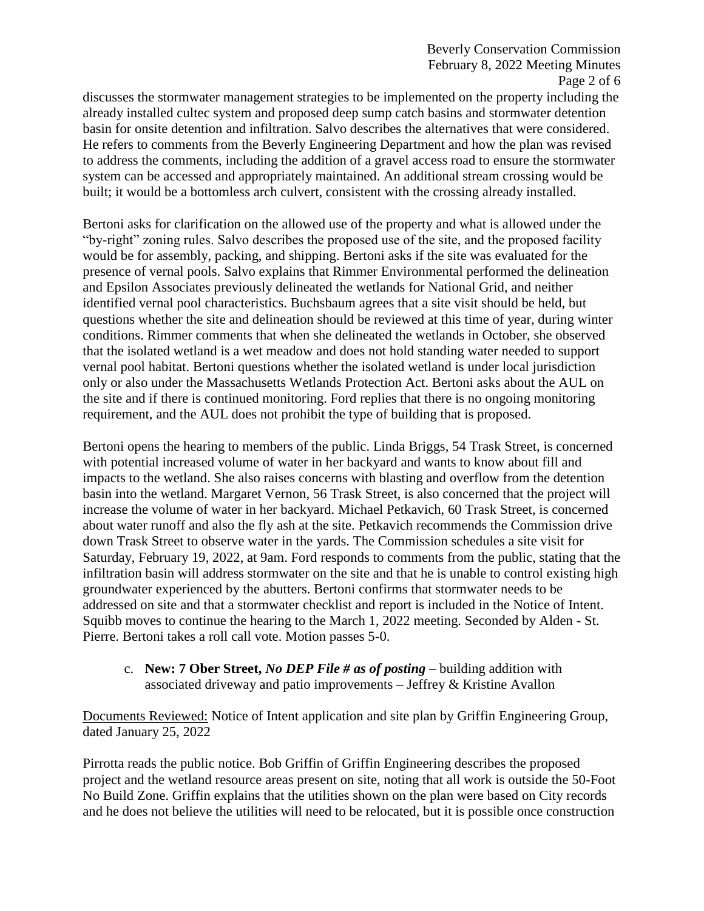discusses the stormwater management strategies to be implemented on the property including the already installed cultec system and proposed deep sump catch basins and stormwater detention basin for onsite detention and infiltration. Salvo describes the alternatives that were considered. He refers to comments from the Beverly Engineering Department and how the plan was revised to address the comments, including the addition of a gravel access road to ensure the stormwater system can be accessed and appropriately maintained. An additional stream crossing would be built; it would be a bottomless arch culvert, consistent with the crossing already installed.

Bertoni asks for clarification on the allowed use of the property and what is allowed under the "by-right" zoning rules. Salvo describes the proposed use of the site, and the proposed facility would be for assembly, packing, and shipping. Bertoni asks if the site was evaluated for the presence of vernal pools. Salvo explains that Rimmer Environmental performed the delineation and Epsilon Associates previously delineated the wetlands for National Grid, and neither identified vernal pool characteristics. Buchsbaum agrees that a site visit should be held, but questions whether the site and delineation should be reviewed at this time of year, during winter conditions. Rimmer comments that when she delineated the wetlands in October, she observed that the isolated wetland is a wet meadow and does not hold standing water needed to support vernal pool habitat. Bertoni questions whether the isolated wetland is under local jurisdiction only or also under the Massachusetts Wetlands Protection Act. Bertoni asks about the AUL on the site and if there is continued monitoring. Ford replies that there is no ongoing monitoring requirement, and the AUL does not prohibit the type of building that is proposed.

Bertoni opens the hearing to members of the public. Linda Briggs, 54 Trask Street, is concerned with potential increased volume of water in her backyard and wants to know about fill and impacts to the wetland. She also raises concerns with blasting and overflow from the detention basin into the wetland. Margaret Vernon, 56 Trask Street, is also concerned that the project will increase the volume of water in her backyard. Michael Petkavich, 60 Trask Street, is concerned about water runoff and also the fly ash at the site. Petkavich recommends the Commission drive down Trask Street to observe water in the yards. The Commission schedules a site visit for Saturday, February 19, 2022, at 9am. Ford responds to comments from the public, stating that the infiltration basin will address stormwater on the site and that he is unable to control existing high groundwater experienced by the abutters. Bertoni confirms that stormwater needs to be addressed on site and that a stormwater checklist and report is included in the Notice of Intent. Squibb moves to continue the hearing to the March 1, 2022 meeting. Seconded by Alden - St. Pierre. Bertoni takes a roll call vote. Motion passes 5-0.

c. **New: 7 Ober Street,** *No DEP File # as of posting* – building addition with associated driveway and patio improvements – Jeffrey & Kristine Avallon

Documents Reviewed: Notice of Intent application and site plan by Griffin Engineering Group, dated January 25, 2022

Pirrotta reads the public notice. Bob Griffin of Griffin Engineering describes the proposed project and the wetland resource areas present on site, noting that all work is outside the 50-Foot No Build Zone. Griffin explains that the utilities shown on the plan were based on City records and he does not believe the utilities will need to be relocated, but it is possible once construction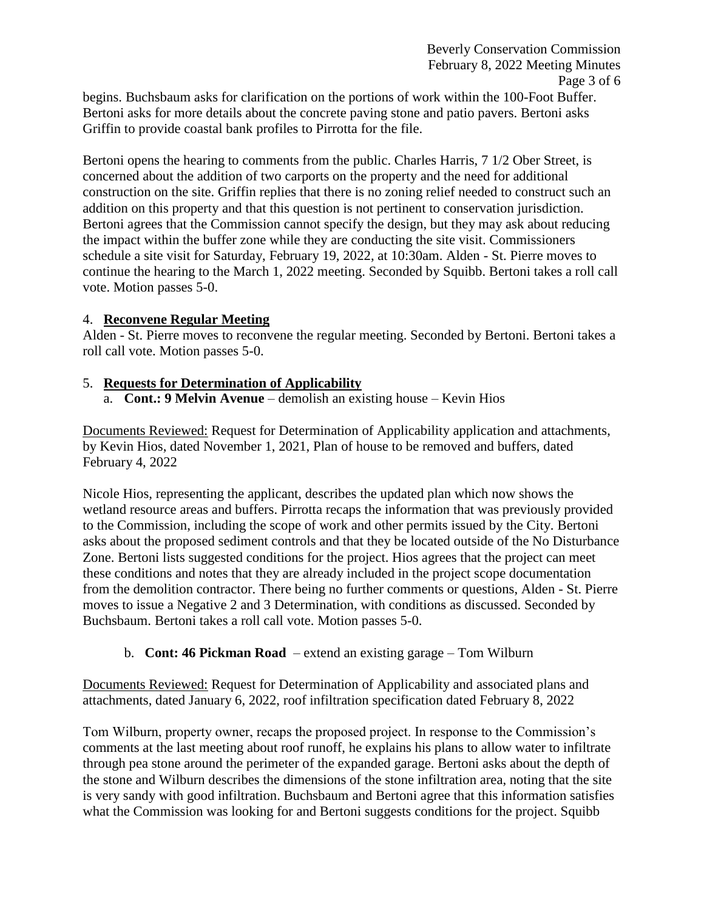begins. Buchsbaum asks for clarification on the portions of work within the 100-Foot Buffer. Bertoni asks for more details about the concrete paving stone and patio pavers. Bertoni asks Griffin to provide coastal bank profiles to Pirrotta for the file.

Bertoni opens the hearing to comments from the public. Charles Harris, 7 1/2 Ober Street, is concerned about the addition of two carports on the property and the need for additional construction on the site. Griffin replies that there is no zoning relief needed to construct such an addition on this property and that this question is not pertinent to conservation jurisdiction. Bertoni agrees that the Commission cannot specify the design, but they may ask about reducing the impact within the buffer zone while they are conducting the site visit. Commissioners schedule a site visit for Saturday, February 19, 2022, at 10:30am. Alden - St. Pierre moves to continue the hearing to the March 1, 2022 meeting. Seconded by Squibb. Bertoni takes a roll call vote. Motion passes 5-0.

#### 4. **Reconvene Regular Meeting**

Alden - St. Pierre moves to reconvene the regular meeting. Seconded by Bertoni. Bertoni takes a roll call vote. Motion passes 5-0.

## 5. **Requests for Determination of Applicability**

a. **Cont.: 9 Melvin Avenue** – demolish an existing house – Kevin Hios

Documents Reviewed: Request for Determination of Applicability application and attachments, by Kevin Hios, dated November 1, 2021, Plan of house to be removed and buffers, dated February 4, 2022

Nicole Hios, representing the applicant, describes the updated plan which now shows the wetland resource areas and buffers. Pirrotta recaps the information that was previously provided to the Commission, including the scope of work and other permits issued by the City. Bertoni asks about the proposed sediment controls and that they be located outside of the No Disturbance Zone. Bertoni lists suggested conditions for the project. Hios agrees that the project can meet these conditions and notes that they are already included in the project scope documentation from the demolition contractor. There being no further comments or questions, Alden - St. Pierre moves to issue a Negative 2 and 3 Determination, with conditions as discussed. Seconded by Buchsbaum. Bertoni takes a roll call vote. Motion passes 5-0.

## b. **Cont: 46 Pickman Road** – extend an existing garage – Tom Wilburn

Documents Reviewed: Request for Determination of Applicability and associated plans and attachments, dated January 6, 2022, roof infiltration specification dated February 8, 2022

Tom Wilburn, property owner, recaps the proposed project. In response to the Commission's comments at the last meeting about roof runoff, he explains his plans to allow water to infiltrate through pea stone around the perimeter of the expanded garage. Bertoni asks about the depth of the stone and Wilburn describes the dimensions of the stone infiltration area, noting that the site is very sandy with good infiltration. Buchsbaum and Bertoni agree that this information satisfies what the Commission was looking for and Bertoni suggests conditions for the project. Squibb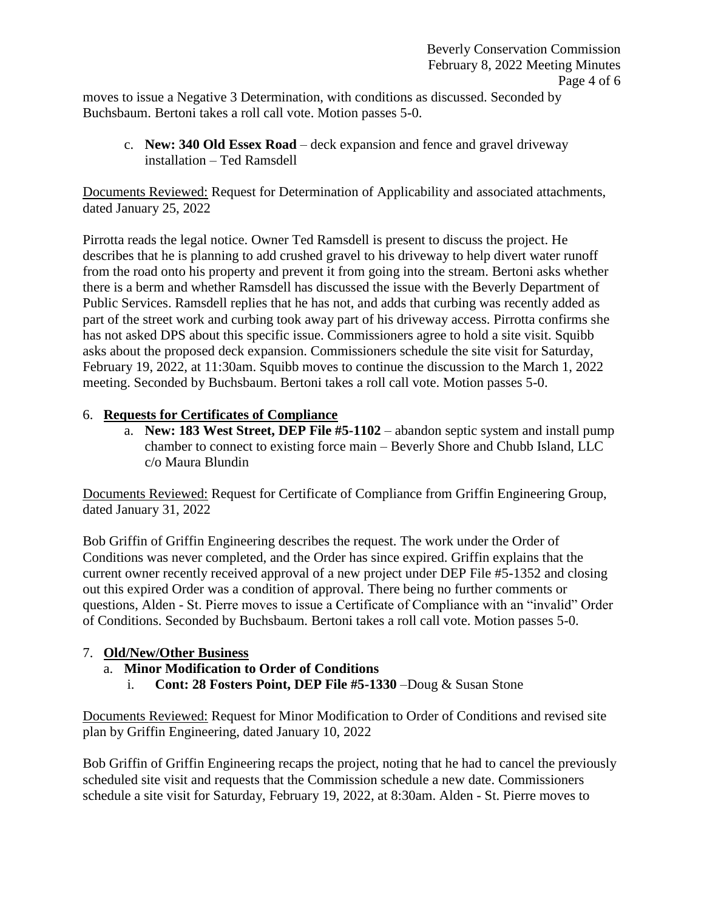moves to issue a Negative 3 Determination, with conditions as discussed. Seconded by Buchsbaum. Bertoni takes a roll call vote. Motion passes 5-0.

c. **New: 340 Old Essex Road** – deck expansion and fence and gravel driveway installation – Ted Ramsdell

Documents Reviewed: Request for Determination of Applicability and associated attachments, dated January 25, 2022

Pirrotta reads the legal notice. Owner Ted Ramsdell is present to discuss the project. He describes that he is planning to add crushed gravel to his driveway to help divert water runoff from the road onto his property and prevent it from going into the stream. Bertoni asks whether there is a berm and whether Ramsdell has discussed the issue with the Beverly Department of Public Services. Ramsdell replies that he has not, and adds that curbing was recently added as part of the street work and curbing took away part of his driveway access. Pirrotta confirms she has not asked DPS about this specific issue. Commissioners agree to hold a site visit. Squibb asks about the proposed deck expansion. Commissioners schedule the site visit for Saturday, February 19, 2022, at 11:30am. Squibb moves to continue the discussion to the March 1, 2022 meeting. Seconded by Buchsbaum. Bertoni takes a roll call vote. Motion passes 5-0.

## 6. **Requests for Certificates of Compliance**

a. **New: 183 West Street, DEP File #5-1102** – abandon septic system and install pump chamber to connect to existing force main – Beverly Shore and Chubb Island, LLC c/o Maura Blundin

Documents Reviewed: Request for Certificate of Compliance from Griffin Engineering Group, dated January 31, 2022

Bob Griffin of Griffin Engineering describes the request. The work under the Order of Conditions was never completed, and the Order has since expired. Griffin explains that the current owner recently received approval of a new project under DEP File #5-1352 and closing out this expired Order was a condition of approval. There being no further comments or questions, Alden - St. Pierre moves to issue a Certificate of Compliance with an "invalid" Order of Conditions. Seconded by Buchsbaum. Bertoni takes a roll call vote. Motion passes 5-0.

## 7. **Old/New/Other Business**

- a. **Minor Modification to Order of Conditions**
	- i. **Cont: 28 Fosters Point, DEP File #5-1330** –Doug & Susan Stone

Documents Reviewed: Request for Minor Modification to Order of Conditions and revised site plan by Griffin Engineering, dated January 10, 2022

Bob Griffin of Griffin Engineering recaps the project, noting that he had to cancel the previously scheduled site visit and requests that the Commission schedule a new date. Commissioners schedule a site visit for Saturday, February 19, 2022, at 8:30am. Alden - St. Pierre moves to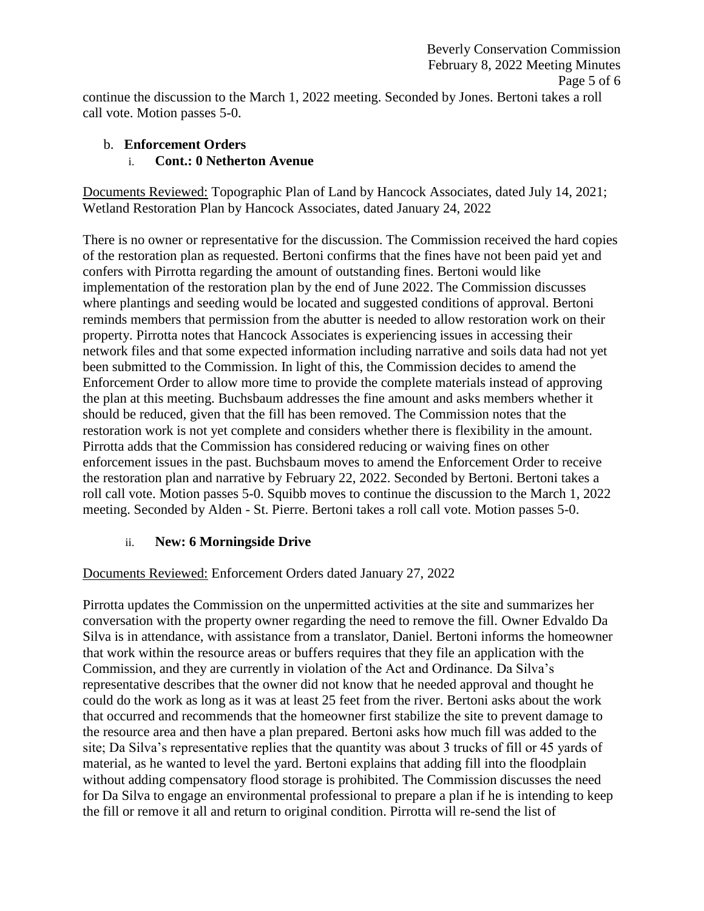continue the discussion to the March 1, 2022 meeting. Seconded by Jones. Bertoni takes a roll call vote. Motion passes 5-0.

# b. **Enforcement Orders**

## i. **Cont.: 0 Netherton Avenue**

Documents Reviewed: Topographic Plan of Land by Hancock Associates, dated July 14, 2021; Wetland Restoration Plan by Hancock Associates, dated January 24, 2022

There is no owner or representative for the discussion. The Commission received the hard copies of the restoration plan as requested. Bertoni confirms that the fines have not been paid yet and confers with Pirrotta regarding the amount of outstanding fines. Bertoni would like implementation of the restoration plan by the end of June 2022. The Commission discusses where plantings and seeding would be located and suggested conditions of approval. Bertoni reminds members that permission from the abutter is needed to allow restoration work on their property. Pirrotta notes that Hancock Associates is experiencing issues in accessing their network files and that some expected information including narrative and soils data had not yet been submitted to the Commission. In light of this, the Commission decides to amend the Enforcement Order to allow more time to provide the complete materials instead of approving the plan at this meeting. Buchsbaum addresses the fine amount and asks members whether it should be reduced, given that the fill has been removed. The Commission notes that the restoration work is not yet complete and considers whether there is flexibility in the amount. Pirrotta adds that the Commission has considered reducing or waiving fines on other enforcement issues in the past. Buchsbaum moves to amend the Enforcement Order to receive the restoration plan and narrative by February 22, 2022. Seconded by Bertoni. Bertoni takes a roll call vote. Motion passes 5-0. Squibb moves to continue the discussion to the March 1, 2022 meeting. Seconded by Alden - St. Pierre. Bertoni takes a roll call vote. Motion passes 5-0.

## ii. **New: 6 Morningside Drive**

## Documents Reviewed: Enforcement Orders dated January 27, 2022

Pirrotta updates the Commission on the unpermitted activities at the site and summarizes her conversation with the property owner regarding the need to remove the fill. Owner Edvaldo Da Silva is in attendance, with assistance from a translator, Daniel. Bertoni informs the homeowner that work within the resource areas or buffers requires that they file an application with the Commission, and they are currently in violation of the Act and Ordinance. Da Silva's representative describes that the owner did not know that he needed approval and thought he could do the work as long as it was at least 25 feet from the river. Bertoni asks about the work that occurred and recommends that the homeowner first stabilize the site to prevent damage to the resource area and then have a plan prepared. Bertoni asks how much fill was added to the site; Da Silva's representative replies that the quantity was about 3 trucks of fill or 45 yards of material, as he wanted to level the yard. Bertoni explains that adding fill into the floodplain without adding compensatory flood storage is prohibited. The Commission discusses the need for Da Silva to engage an environmental professional to prepare a plan if he is intending to keep the fill or remove it all and return to original condition. Pirrotta will re-send the list of